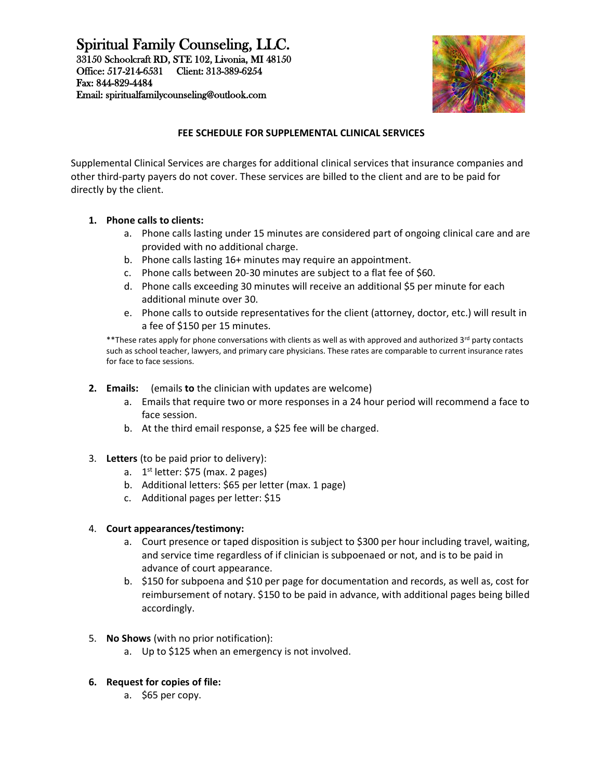# Spiritual Family Counseling, LLC.

33150 Schoolcraft RD, STE 102, Livonia, MI 48150 Office: 517-214-6531 Client: 313-389-6254 Fax: 844-829-4484 Email: spiritualfamilycounseling@outlook.com



## **FEE SCHEDULE FOR SUPPLEMENTAL CLINICAL SERVICES**

Supplemental Clinical Services are charges for additional clinical services that insurance companies and other third-party payers do not cover. These services are billed to the client and are to be paid for directly by the client.

## **1. Phone calls to clients:**

- a. Phone calls lasting under 15 minutes are considered part of ongoing clinical care and are provided with no additional charge.
- b. Phone calls lasting 16+ minutes may require an appointment.
- c. Phone calls between 20-30 minutes are subject to a flat fee of \$60.
- d. Phone calls exceeding 30 minutes will receive an additional \$5 per minute for each additional minute over 30.
- e. Phone calls to outside representatives for the client (attorney, doctor, etc.) will result in a fee of \$150 per 15 minutes.

\*\*These rates apply for phone conversations with clients as well as with approved and authorized 3rd party contacts such as school teacher, lawyers, and primary care physicians. These rates are comparable to current insurance rates for face to face sessions.

- **2. Emails:** (emails **to** the clinician with updates are welcome)
	- a. Emails that require two or more responses in a 24 hour period will recommend a face to face session.
	- b. At the third email response, a \$25 fee will be charged.
- 3. **Letters** (to be paid prior to delivery):
	- a. 1<sup>st</sup> letter: \$75 (max. 2 pages)
	- b. Additional letters: \$65 per letter (max. 1 page)
	- c. Additional pages per letter: \$15

### 4. **Court appearances/testimony:**

- a. Court presence or taped disposition is subject to \$300 per hour including travel, waiting, and service time regardless of if clinician is subpoenaed or not, and is to be paid in advance of court appearance.
- b. \$150 for subpoena and \$10 per page for documentation and records, as well as, cost for reimbursement of notary. \$150 to be paid in advance, with additional pages being billed accordingly.
- 5. **No Shows** (with no prior notification):
	- a. Up to \$125 when an emergency is not involved.
- **6. Request for copies of file:**
	- a. \$65 per copy.